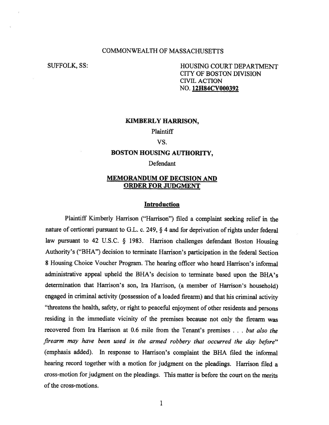## COMMONWEALTH OF MASSACHUSETTS

SUFFOLK, SS: HOUSING COURT DEPARTMENT CITY OF BOSTON DIVISION CIVIL ACTION NO. **12H84CV000392** 

### **KIMBERLY HARRISON,**

**Plaintiff** 

## VS.

## **BOSTON HOUSING AUTHORITY,**

## Defendant

# **MEMORANDUM OF DECISION AND ORDER FOR JUDGMENT**

#### **Introduction**

Plaintiff Kimberly Harrison ("Harrison") filed a complaint seeking relief in the nature of certiorari pursuant to G.L. c. 249, § 4 and for deprivation of rights under federal law pursuant to 42 U.S.C. § 1983. Harrison challenges defendant Boston Housing Authority's ("BHA") decision to terminate Harrison's participation in the federal Section 8 Housing Choice Voucher Program. The hearing officer who heard Harrison's informal administrative appeal upheld the BHA's decision to terminate based upon the BHA's determination that Harrison's son, Ira Harrison, (a member of Harrison's household) engaged in criminal activity (possession of a loaded firearm) and that his criminal activity "threatens the health, safety, or right to peaceful enjoyment of other residents and persons residing in the immediate vicinity of the premises because not only the firearm was recovered from Ira Harrison at 0.6 mile from the Tenant's premises . . . *but also the firearm may have been used in the armed robbery that occurred the day before"*  (emphasis added). In response to Harrison's complaint the BHA filed the informal hearing record together with a motion for judgment on the pleadings. Harrison filed a cross-motion for judgment on the pleadings. This matter is before the court on the merits of the cross-motions.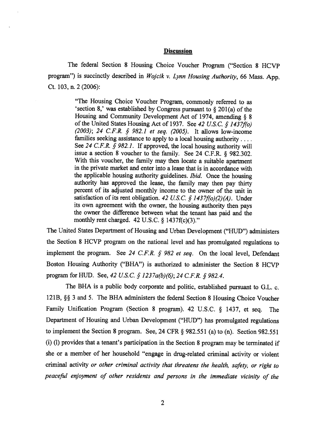## **Discussion**

**The federal Section 8 Housing Choice Voucher Program ("Section 8 HCVP program") is succinctly described in** *Wojcik v. Lynn Housing Authority,* **66 Mass. App. Ct. 103, n. 2 (2006):** 

> **"The Housing Choice Voucher Program, commonly referred to as `section 8,' was established by Congress pursuant to § 201(a) of the Housing and Community Development Act of 1974, amending § 8 of the United States Housing Act of 1937. See** *42 U.S.C. § 1437f(o) (2003); 24 C.F.R. § 982.1 et seq. (2005).* **It allows low-income families seeking assistance to apply to a local housing authority . . . . See** *24 C.F.R. § 982.1.* **If approved, the local housing authority will issue a section 8 voucher to the family. See 24 C.F.R. § 982.302. With this voucher, the family may then locate a suitable apartment in the private market and enter into a lease that is in accordance with the applicable housing authority guidelines.** *Ibid.* **Once the housing authority has approved the lease, the family may then pay thirty percent of its adjusted monthly income to the owner of the unit in satisfaction of its rent obligation.** *42 U.S.C. § 1437f(o)(2)(A).* **Under its own agreement with the owner, the housing authority then pays the owner the difference between what the tenant has paid and the monthly rent charged. 42 U.S.C. § 1437f(c)(3)."**

**The United States Department of Housing and Urban Development ("HUD") administers the Section 8 HCVP program on the national level and has promulgated regulations to implement the program. See** *24 C.F.R. § 982 et seq.* **On the local level, Defendant Boston Housing Authority ("BHA") is authorized to administer the Section 8 HCVP program for HUD. See,** *42 U.S.C. § 1237a(b)(6); 24 C.F.R. § 982.4.* 

**The BHA is a public body corporate and politic, established pursuant to G.L. c. 121B, §§ 3 and 5. The BHA administers the federal Section 8 Housing Choice Voucher Family Unification Program (Section 8 program). 42 U.S.C. § 1437, et seq. The Department of Housing and Urban Development ("HUD") has promulgated regulations to implement the Section 8 program. See, 24 CFR § 982.551 (a) to (n). Section 982.551 (i) (1) provides that a tenant's participation in the Section 8 program may be terminated if she or a member of her household "engage in drug-related criminal activity or violent criminal activity** *or other criminal activity that threatens the health, safety, or right to peaceful enjoyment of other residents and persons in the immediate vicinity of the*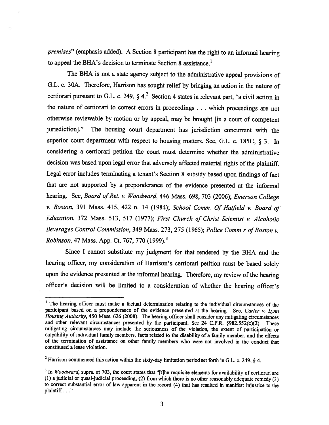*premises"* (emphasis added). A Section 8 participant has the right to an informal hearing to appeal the BHA's decision to terminate Section 8 assistance.<sup>1</sup>

The BHA is not a state agency subject to the administrative appeal provisions of G.L. c. 30A. Therefore, Harrison has sought relief by bringing an action in the nature of certiorari pursuant to G.L. c. 249, § 4.<sup>2</sup> Section 4 states in relevant part, "a civil action in the nature of certiorari to correct errors in proceedings . . . which proceedings are not otherwise reviewable by motion or by appeal, may be brought [in a court of competent jurisdiction]." The housing court department has jurisdiction concurrent with the superior court department with respect to housing matters. See, G.L. c. 185C, § 3. In considering a certiorari petition the court must determine whether the administrative decision was based upon legal error that adversely affected material rights of the plaintiff. Legal error includes terminating a tenant's Section 8 subsidy based upon findings of fact that are not supported by a preponderance of the evidence presented at the informal hearing. See, *Board of Ret. v. Woodward,* 446 Mass. 698, 703 (2006); *Emerson College v. Boston,* 391 Mass. 415, 422 n. 14 (1984); *School Comm. Of Hatfield v. Board of Education,* 372 Mass. 513, 517 (1977); *First Church of Christ Scientist v. Alcoholic Beverages Control Commission,* 349 Mass. 273, 275 (1965); *Police Comm'r of Boston v. Robinson,* 47 Mass. App. Ct. 767, 770 (1999).3

Since I cannot substitute my judgment for that rendered by the BHA and the hearing officer, my consideration of Harrison's certiorari petition must be based solely upon the evidence presented at the informal hearing. Therefore, my review of the hearing officer's decision will be limited to a consideration of whether the hearing officer's

<sup>&</sup>lt;sup>1</sup> The hearing officer must make a factual determination relating to the individual circumstances of the participant based on a preponderance of the evidence presented at the hearing. See, *Carter v. Lynn Housing Authority,* 450 Mass. 626 (2008). The hearing officer shall consider any mitigating circumstances and other relevant circumstances presented by the participant. See 24 C.F.R. §982.552(c)(2). These mitigating circumstances may include the seriousness of the violation, the extent of participation or culpability of individual family members, facts related to the disability of a family member, and the effects of the termination of assistance on other family members who were not involved in the conduct that constituted a lease violation.

<sup>&</sup>lt;sup>2</sup> Harrison commenced this action within the sixty-day limitation period set forth in G.L. c. 249, § 4.

<sup>&</sup>lt;sup>3</sup> In *Woodward*, supra. at 703, the court states that "[t]he requisite elements for availability of certiorari are (1) a judicial or quasi-judicial proceeding, (2) from which there is no other reasonably adequate remedy (3) to correct substantial error of law apparent in the record (4) that has resulted in manifest injustice to the plaintiff . . ."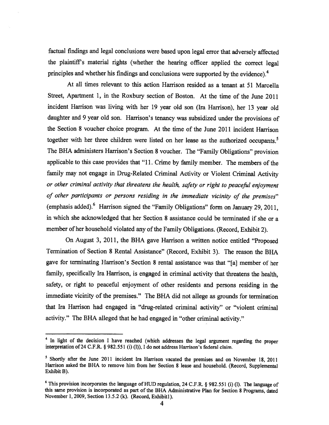factual findings and legal conclusions were based upon legal error that adversely affected the plaintiff's material rights (whether the hearing officer applied the correct legal principles and whether his findings and conclusions were supported by the evidence).4

At all times relevant to this action Harrison resided as a tenant at 51 Marcella Street, Apartment 1, in the Roxbury section of Boston. At the time of the June 2011 incident Harrison was living with her 19 year old son (Ira Harrison), her 13 year old daughter and 9 year old son. Harrison's tenancy was subsidized under the provisions of the Section 8 voucher choice program. At the time of the June 2011 incident Harrison together with her three children were listed on her lease as the authorized occupants.<sup>5</sup> The BHA administers Harrison's Section 8 voucher. The "Family Obligations" provision applicable to this case provides that "11. Crime by family member. The members of the family may not engage in Drug-Related Criminal Activity or Violent Criminal Activity *or other criminal activity that threatens the health, safety or right to peaceful enjoyment of other participants or persons residing in the immediate vicinity of the premises"*  (emphasis added).<sup>6</sup> Harrison signed the "Family Obligations" form on January 29, 2011, in which she acknowledged that her Section 8 assistance could be terminated if she or <sup>a</sup> member of her household violated any of the Family Obligations. (Record, Exhibit 2).

On August 3, 2011, the BHA gave Harrison a written notice entitled "Proposed Termination of Section 8 Rental Assistance" (Record, Exhibit 3). The reason the BHA gave for terminating Harrison's Section 8 rental assistance was that "[a] member of her family, specifically Ira Harrison, is engaged in criminal activity that threatens the health, safety, or right to peaceful enjoyment of other residents and persons residing in the immediate vicinity of the premises." The BHA did not allege as grounds for termination that Ira Harrison had engaged in "drug-related criminal activity" or "violent criminal activity." The BHA alleged that he had engaged in "other criminal activity."

<sup>&</sup>lt;sup>4</sup> In light of the decision I have reached (which addresses the legal argument regarding the proper interpretation of 24 C.F.R. § 982.551 (i) (1)), I do not address Harrison's federal claim.

<sup>&</sup>lt;sup>5</sup> Shortly after the June 2011 incident Ira Harrison vacated the premises and on November 18, 2011 Harrison asked the BHA to remove him from her Section 8 lease and household. (Record, Supplemental Exhibit B).

**<sup>6</sup>**This provision incorporates the language of HUD regulation, 24 C.F.R. § 982.551 (i) (1). The language of this same provision is incorporated as part of the BHA Administrative Plan for Section **8** Programs, dated November 1, 2009, Section 13.5.2 (k). (Record, Exhibitl).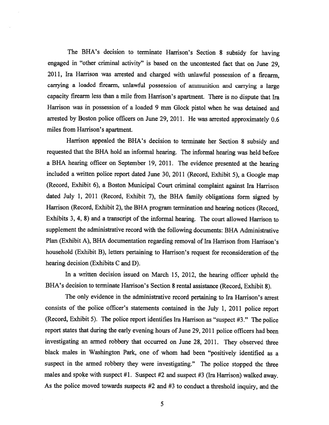The BHA's decision to terminate Harrison's Section 8 subsidy for having engaged in "other criminal activity" is based on the uncontested fact that on June 29, 2011, Ira Harrison was arrested and charged with unlawful possession of a firearm, carrying a loaded firearm, unlawful possession of ammunition and carrying a large capacity firearm less than a mile from Harrison's apartment. There is no dispute that Ira Harrison was in possession of a loaded 9 mm Glock pistol when he was detained and arrested by Boston police officers on June 29, 2011. He was arrested approximately 0.6 miles from Harrison's apartment.

Harrison appealed the BHA's decision to terminate her Section 8 subsidy and requested that the BHA hold an informal hearing. The informal hearing was held before a BHA hearing officer on September 19, 2011. The evidence presented at the hearing included a written police report dated June 30, 2011 (Record, Exhibit 5), a Google map (Record, Exhibit 6), a Boston Municipal Court criminal complaint against Ira Harrison dated July 1, 2011 (Record, Exhibit 7), the BHA family obligations form signed by Harrison (Record, Exhibit 2), the BHA program termination and hearing notices (Record, Exhibits 3, 4, 8) and a transcript of the informal hearing. The court allowed Harrison to supplement the administrative record with the following documents: BHA Administrative Plan (Exhibit A), BHA documentation regarding removal of Ira Harrison from Harrison's household (Exhibit B), letters pertaining to Harrison's request for reconsideration of the hearing decision (Exhibits C and D).

In a written decision issued on March 15, 2012, the hearing officer upheld the BHA's decision to terminate Harrison's Section 8 rental assistance (Record, Exhibit 8).

The only evidence in the administrative record pertaining to Ira Harrison's arrest consists of the police officer's statements contained in the July 1, 2011 police report (Record, Exhibit 5). The police report identifies Ira Harrison as "suspect #3." The police report states that during the early evening hours of June 29, 2011 police officers had been investigating an armed robbery that occurred on June 28, 2011. They observed three black males in Washington Park, one of whom had been "positively identified as a suspect in the armed robbery they were investigating." The police stopped the three males and spoke with suspect #1. Suspect #2 and suspect #3 (Ira Harrison) walked away. As the police moved towards suspects #2 and #3 to conduct a threshold inquiry, and the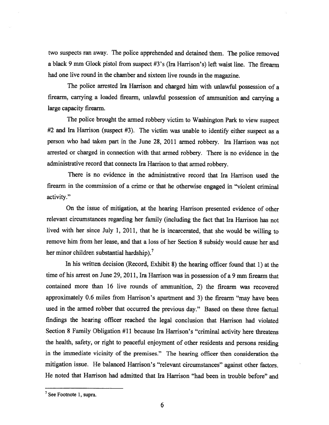two suspects ran away. The police apprehended and detained them. The police removed a black 9 mm Glock pistol from suspect #3's (Ira Harrison's) left waist line. The firearm had one live round in the chamber and sixteen live rounds in the magazine.

The police arrested Ira Harrison and charged him with unlawful possession of a firearm, carrying a loaded firearm, unlawful possession of ammunition and carrying a large capacity firearm.

The police brought the armed robbery victim to Washington Park to view suspect #2 and Ira Harrison (suspect #3). The victim was unable to identify either suspect as a person who had taken part in the June 28, 2011 armed robbery. Ira Harrison was not arrested or charged in connection with that armed robbery. There is no evidence in the administrative record that connects Ira Harrison to that armed robbery.

There is no evidence in the administrative record that Ira Harrison used the firearm in the commission of a crime or that he otherwise engaged in "violent criminal activity."

On the issue of mitigation, at the hearing Harrison presented evidence of other relevant circumstances regarding her family (including the fact that Ira Harrison has not lived with her since July 1, 2011, that he is incarcerated, that she would be willing to remove him from her lease, and that a loss of her Section 8 subsidy would cause her and her minor children substantial hardship).<sup>7</sup>

In his written decision (Record, Exhibit 8) the hearing officer found that 1) at the time of his arrest on June 29, 2011, Ira Harrison was in possession of a 9 mm firearm that contained more than 16 live rounds of ammunition, 2) the firearm was recovered approximately 0.6 miles from Harrison's apartment and 3) the firearm "may have been used in the armed robber that occurred the previous day." Based on these three factual findings the hearing officer reached the legal conclusion that Harrison had violated Section 8 Family Obligation #11 because Ira Harrison's "criminal activity here threatens the health, safety, or right to peaceful enjoyment of other residents and persons residing in the immediate vicinity of the premises." The hearing officer then consideration the mitigation issue. He balanced Harrison's "relevant circumstances" against other factors. He noted that Harrison had admitted that Ira Harrison "had been in trouble before" and

 $<sup>7</sup>$  See Footnote 1, supra.</sup>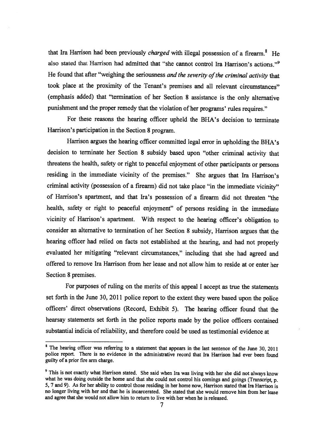that Ira Harrison had been previously *charged* with illegal possession of a firearm.<sup>8</sup> He also stated that Harrison had admitted that "she cannot control Ira Harrison's actions."9 He found that after "weighing the seriousness *and the severity of the criminal activity* that took place at the proximity of the Tenant's premises and all relevant circumstances" (emphasis added) that "termination of her Section 8 assistance is the only alternative punishment and the proper remedy that the violation of her programs' rules requires."

For these reasons the hearing officer upheld the BHA's decision to terminate Harrison's participation in the Section 8 program.

Harrison argues the hearing officer committed legal error in upholding the BHA's decision to terminate her Section 8 subsidy based upon "other criminal activity that threatens the health, safety or right to peaceful enjoyment of other participants or persons residing in the immediate vicinity of the premises." She argues that Ira Harrison's criminal activity (possession of a firearm) did not take place "in the immediate vicinity" of Harrison's apartment, and that Ira's possession of a firearm did not threaten "the health, safety or right to peaceful enjoyment" of persons residing in the immediate vicinity of Harrison's apartment. With respect to the hearing officer's obligation to consider an alternative to termination of her Section 8 subsidy, Harrison argues that the hearing officer had relied on facts not established at the hearing, and had not properly evaluated her mitigating "relevant circumstances," including that she had agreed and offered to remove Ira Harrison from her lease and not allow him to reside at or enter her Section 8 premises.

For purposes of ruling on the merits of this appeal I accept as true the statements set forth in the June 30, 2011 police report to the extent they were based upon the police officers' direct observations (Record, Exhibit 5). The hearing officer found that the hearsay statements set forth in the police reports made by the police officers contained substantial indicia of reliability, and therefore could be used as testimonial evidence at

<sup>&</sup>lt;sup>8</sup> The hearing officer was referring to a statement that appears in the last sentence of the June 30, 2011 police report. There is no evidence in the administrative record that Ira Harrison had ever been found guilty of a prior fire arm charge.

<sup>&</sup>lt;sup>9</sup> This is not exactly what Harrison stated. She said when Ira was living with her she did not always know what he was doing outside the home and that she could not control his comings and goings (Transcript, p. **5, 7 and 9). As for her ability to control those residing in her home now, Harrison stated that Ira Harrison is**  no longer living with her and that he is incarcerated. She stated that she would remove him from her lease and agree that she would not allow him to return to live with her when he is released.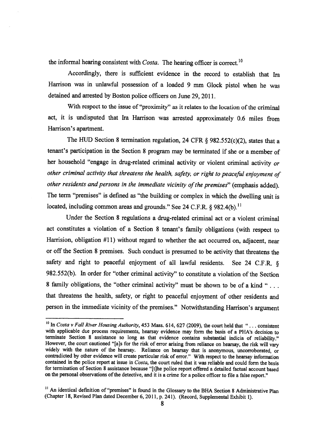**the informal hearing consistent with** *Costa.* **The hearing officer is correct.1°** 

**Accordingly, there is sufficient evidence in the record to establish that Ira Harrison was in unlawful possession of a loaded 9 mm Glock pistol when he was detained and arrested by Boston police officers on June 29, 2011.** 

**With respect to the issue of "proximity" as it relates to the location of the criminal act, it is undisputed that Ira Harrison was arrested approximately 0.6 miles from Harrison's apartment.** 

**The HUD Section 8 termination regulation, 24 CFR § 982.552(c)(2), states that a tenant's participation in the Section 8 program may be terminated if she or a member of her household "engage in drug-related criminal activity or violent criminal activity** *or other criminal activity that threatens the health, safety, or right to peaceful enjoyment of other residents and persons in the immediate vicinity of the premises"* **(emphasis added). The term "premises" is defined as "the building or complex in which the dwelling unit is located, including common areas and grounds." See 24 C.F.R. § 982.4(b)."** 

**Under the Section 8 regulations a drug-related criminal act or a violent criminal act constitutes a violation of a Section 8 tenant's family obligations (with respect to Harrision, obligation #11) without regard to whether the act occurred on, adjacent, near or off the Section 8 premises. Such conduct is presumed to be activity that threatens the safety and right to peaceful enjoyment of all lawful residents. See 24 C.F.R. § 982.552(b). In order for "other criminal activity" to constitute a violation of the Section 8 family obligations, the "other criminal activity" must be shown to be of a kind " . . . that threatens the health, safety, or right to peaceful enjoyment of other residents and person in the immediate vicinity of the premises." Notwithstanding Harrison's argument** 

**I°In** *Costa v Fall River Housing Authority,* **453 Mass. 614, 627 (2009), the court held that " . . . consistent with applicable due process requirements, hearsay evidence may form the basis of a PHA's decision to terminate Section 8 assistance so long as that evidence contains substantial indicia of reliability."**  However, the court cautioned "[a]s for the risk of error arising from reliance on hearsay, the risk will vary **widely with the nature of the hearsay. Reliance on hearsay that is anonymous, uncorroborated, or contradicted by other evidence will create particular risk of error." With respect to the hearsay information contained in the police report at issue in** *Costa,* **the court ruled that it was reliable and could form the basis for termination of Section 8 assistance because "[t]he police report offered a detailed factual account based on the personal observations of the detective, and it is a crime for a police officer to file a false report."** 

<sup>&</sup>lt;sup>11</sup> An identical definition of "premises" is found in the Glossary to the BHA Section 8 Administrative Plan **(Chapter 18, Revised Plan dated December 6, 2011, p. 241). (Record, Supplemental Exhibit 1).**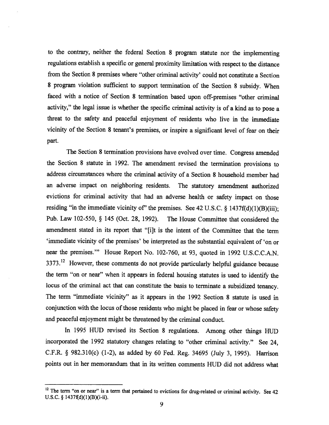**to the contrary, neither the federal Section 8 program statute nor the implementing regulations establish a specific or general proximity limitation with respect to the distance from the Section 8 premises where "other criminal activity' could not constitute a Section 8 program violation sufficient to support termination of the Section 8 subsidy. When faced with a notice of Section 8 termination based upon off-premises "other criminal activity," the legal issue is whether the specific criminal activity is of a kind as to pose a threat to the safety and peaceful enjoyment of residents who live in the immediate vicinity of the Section 8 tenant's premises, or inspire a significant level of fear on their part.** 

**The Section 8 termination provisions have evolved over time. Congress amended the Section 8 statute in 1992. The amendment revised the termination provisions to address circumstances where the criminal activity of a Section 8 household member had an adverse impact on neighboring residents. The statutory amendment authorized evictions for criminal activity that had an adverse health or safety impact on those**  residing "in the immediate vicinity of" the premises. See  $42 \text{ U.S.C.}$  §  $1437 \text{ f(d)}(1)(\text{B})(iii)$ ; **Pub. Law 102-550, § 145 (Oct. 28, 1992). The House Committee that considered the amendment stated in its report that "[i]t is the intent of the Committee that the term `immediate vicinity of the premises' be interpreted as the substantial equivalent of 'on or near the premises.'" House Report No. 102-760, at 93, quoted in 1992 U.S.C.C.A.N.**  3373.<sup>12</sup> However, these comments do not provide particularly helpful guidance because **the term "on or near" when it appears in federal housing statutes is used to identify the locus of the criminal act that can constitute the basis to terminate a subsidized tenancy. The term "immediate vicinity" as it appears in the 1992 Section 8 statute is used in conjunction with the locus of those residents who might be placed in fear or whose safety and peaceful enjoyment might be threatened by the criminal conduct.** 

**In 1995 HUD revised its Section 8 regulations. Among other things HUD incorporated the 1992 statutory changes relating to "other criminal activity." See 24, C.F.R. § 982.310(c) (1-2), as added by 60 Fed. Reg. 34695 (July 3, 1995). Harrison points out in her memorandum that in its written comments HUD did not address what** 

<sup>&</sup>lt;sup>12</sup> The term "on or near" is a term that pertained to evictions for drug-related or criminal activity. See 42 **U.S.C. § 1437f(d)(1)(B)(i-ii).**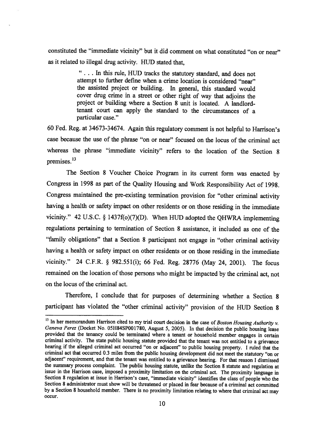constituted the "immediate vicinity" but it did comment on what constituted "on or near" as it related to illegal drug activity. HUD stated that,

> . . . In this rule, HUD tracks the statutory standard, and does not attempt to further define when a crime location is considered "near" the assisted project or building. In general, this standard would cover drug crime in a street or other right of way that adjoins the project or building where a Section 8 unit is located. A landlordtenant court can apply the standard to the circumstances of a particular case."

60 Fed. Reg. at 34673-34674. Again this regulatory comment is not helpful to Harrison's case because the use of the phrase "on or near" focused on the locus of the criminal act whereas the phrase "immediate vicinity" refers to the location of the Section 8 premises.<sup>13</sup>

The Section 8 Voucher Choice Program in its current form was enacted by Congress in 1998 as part of the Quality Housing and Work Responsibility Act of 1998. Congress maintained the pre-existing termination provision for "other criminal activity having a health or safety impact on other residents or on those residing in the immediate vicinity." 42 U.S.C. § 1437f(o)(7)(D). When HUD adopted the QHWRA implementing regulations pertaining to termination of Section 8 assistance, it included as one of the "family obligations" that a Section 8 participant not engage in "other criminal activity having a health or safety impact on other residents or on those residing in the immediate vicinity." 24 C.F.R. § 982.551(i); 66 Fed. Reg. 28776 (May 24, 2001). The focus remained on the location of those persons who might be impacted by the criminal act, not on the locus of the criminal act.

Therefore, I conclude that for purposes of determining whether a Section 8 participant has violated the "other criminal activity" provision of the HUD Section **8** 

<sup>&</sup>lt;sup>13</sup> In her memorandum Harrison cited to my trial court decision in the case of *Boston Housing Authority v*. *Geneva Perez* (Docket No. 05H84SP001780, August 5, 2005). In that decision the public housing lease provided that the tenancy could be terminated where a tenant or household member engages in certain criminal activity. The state public housing statute provided that the tenant was not entitled to a grievance hearing if the alleged criminal act occurred "on or adjacent" to public housing property. I ruled that the criminal act that occurred 0.3 miles from the public housing development did not meet the statutory "on or adjacent" requirement, and that the tenant was entitled to a grievance hearing. For that reason I dismissed the summary process complaint. The public housing statute, unlike the Section 8 statute and regulation at issue in the Harrison case, imposed a proximity limitation on the criminal act. The proximity language in Section 8 regulation at issue in Harrison's case, "immediate vicinity" identifies the class of people who the Section 8 administrator must show will be threatened or placed in fear because of a criminal act committed by a Section 8 household member. There is no proximity limitation relating to where that criminal act may occur.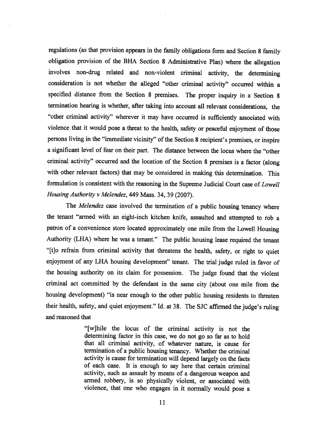regulations (as that provision appears in the family obligations form and Section **8** family obligation provision of the BHA Section **8** Administrative Plan) where the allegation involves non-drug related and non-violent criminal activity, the determining consideration is not whether the alleged "other criminal activity" occurred within a specified distance from the Section 8 premises. The proper inquiry in a Section 8 termination hearing is whether, after taking into account all relevant considerations, the "other criminal activity" wherever it may have occurred is sufficiently associated with violence that it would pose a threat to the health, safety or peaceful enjoyment of those persons living in the "immediate vicinity" of the Section **8** recipient's premises, or inspire a significant level of fear on their part. The distance between the locus where the "other criminal activity" occurred and the location of the Section 8 premises is a factor (along with other relevant factors) that may be considered in making this determination. This formulation is consistent with the reasoning in the Supreme Judicial Court case of *Lowell Housing Authority v Melendez,* 449 Mass. 34, 39 (2007).

The *Melendez* case involved the termination of a public housing tenancy where the tenant "armed with an eight-inch kitchen knife, assaulted and attempted to rob a patron of a convenience store located approximately one mile from the Lowell Housing Authority (LHA) where he was a tenant." The public housing lease required the tenant "[t]o refrain from criminal activity that threatens the health, safety, or right to quiet enjoyment of any LHA housing development" tenant. The trial judge ruled in favor of the housing authority on its claim for possession. The judge found that the violent criminal act committed by the defendant in the same city (about one mile from the housing development) "is near enough to the other public housing residents to threaten their health, safety, and quiet enjoyment." Id. at 38. The SJC affirmed the judge's ruling and reasoned that

> "[w]hile the locus of the criminal activity is not the determining factor in this case, we do not go so far as to hold that all criminal activity, of whatever nature, is cause for termination of a public housing tenancy. Whether the criminal activity is cause for termination will depend largely on the facts of each case. It is enough to say here that certain criminal activity, such as assault by means of a dangerous weapon and armed robbery, is so physically violent, or associated with violence, that one who engages in it normally would pose a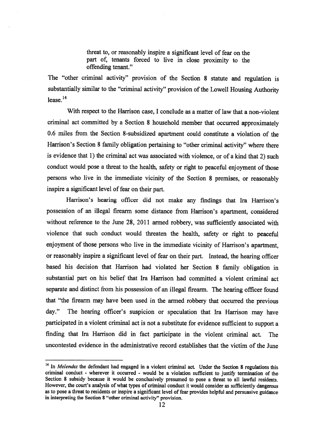threat to, or reasonably inspire a significant level of fear on the part of, tenants forced to live in close proximity to the offending tenant."

The "other criminal activity" provision of the Section 8 statute and regulation is substantially similar to the "criminal activity" provision of the Lowell Housing Authority  $lease<sup>14</sup>$ 

With respect to the Harrison case, I conclude as a matter of law that a non-violent criminal act committed by a Section 8 household member that occurred approximately 0.6 miles from the Section 8-subsidized apartment could constitute a violation of the Harrison's Section 8 family obligation pertaining to "other criminal activity" where there is evidence that 1) the criminal act was associated with violence, or of a kind that 2) such conduct would pose a threat to the health, safety or right to peaceful enjoyment of those persons who live in the immediate vicinity of the Section 8 premises, or reasonably inspire a significant level of fear on their part.

Harrison's hearing officer did not make any findings that Ira Harrison's possession of an illegal firearm some distance from Harrison's apartment, considered without reference to the June 28, 2011 armed robbery, was sufficiently associated with violence that such conduct would threaten the health, safety or right to peaceful enjoyment of those persons who live in the immediate vicinity of Harrison's apartment, or reasonably inspire a significant level of fear on their part. Instead, the hearing officer based his decision that Harrison had violated her Section 8 family obligation in substantial part on his belief that Ira Harrison had committed a violent criminal act separate and distinct from his possession of an illegal firearm. The hearing officer found that "the firearm may have been used in the armed robbery that occurred the previous day." The hearing officer's suspicion or speculation that Ira Harrison may have participated in a violent criminal act is not a substitute for evidence sufficient to support a finding that Ira Harrison did in fact participate in the violent criminal act. The uncontested evidence in the administrative record establishes that the victim of the June

<sup>&</sup>lt;sup>14</sup> In *Melendez* the defendant had engaged in a violent criminal act. Under the Section 8 regulations this criminal conduct - wherever it occurred - would be a violation sufficient to justify termination of the Section 8 subsidy because it would be conclusively presumed to pose a threat to all lawful residents. However, the court's analysis of what types of criminal conduct it would consider as sufficiently dangerous as to pose a threat to residents or inspire a significant level of fear provides helpful and persuasive guidance in interpreting the Section 8 "other criminal activity" provision.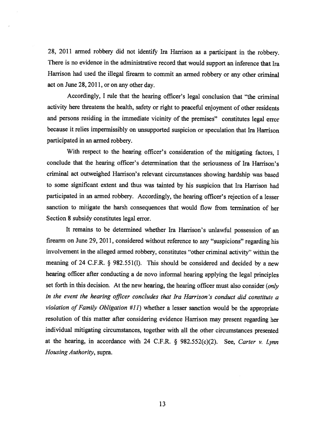28, 2011 armed robbery did not identify Ira Harrison as a participant in the robbery. There is no evidence in the administrative record that would support an inference that Ira Harrison had used the illegal firearm to commit an armed robbery or any other criminal act on June 28, 2011, or on any other day.

Accordingly, I rule that the hearing officer's legal conclusion that "the criminal activity here threatens the health, safety or right to peaceful enjoyment of other residents and persons residing in the immediate vicinity of the premises" constitutes legal error because it relies impermissibly on unsupported suspicion or speculation that Ira Harrison participated in an armed robbery.

With respect to the hearing officer's consideration of the mitigating factors, I conclude that the hearing officer's determination that the seriousness of Ira Harrison's criminal act outweighed Harrison's relevant circumstances showing hardship was based to some significant extent and thus was tainted by his suspicion that Ira Harrison had participated in an armed robbery. Accordingly, the hearing officer's rejection of a lesser sanction to mitigate the harsh consequences that would flow from termination of her Section 8 subsidy constitutes legal error.

It remains to be determined whether Ira Harrison's unlawful possession of an firearm on June 29, 2011, considered without reference to any "suspicions" regarding his involvement in the alleged armed robbery, constitutes "other criminal activity" within the meaning of 24 C.F.R. § 982.551(1). This should be considered and decided by a new hearing officer after conducting a de novo informal hearing applying the legal principles set forth in this decision. At the new hearing, the hearing officer must also consider *(only in the event the hearing officer concludes that Ira Harrison's conduct did constitute a violation of Family Obligation #11)* whether a lesser sanction would be the appropriate resolution of this matter after considering evidence Harrison may present regarding her individual mitigating circumstances, together with all the other circumstances presented at the hearing, in accordance with 24 C.F.R. § 982.552(c)(2). See, *Carter v. Lynn Housing Authority,* supra.